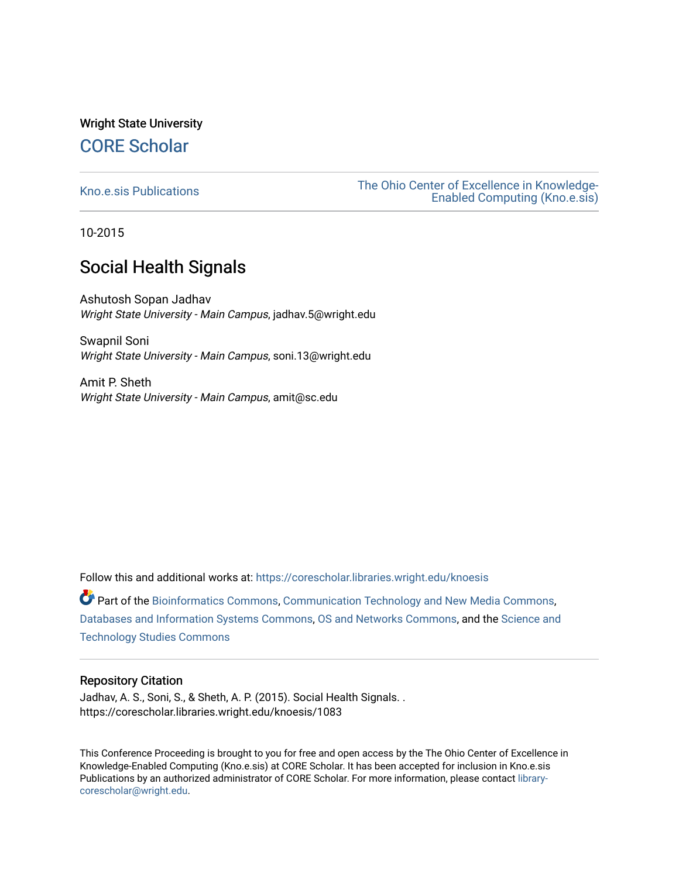# Wright State University [CORE Scholar](https://corescholar.libraries.wright.edu/)

[Kno.e.sis Publications](https://corescholar.libraries.wright.edu/knoesis) [The Ohio Center of Excellence in Knowledge-](https://corescholar.libraries.wright.edu/knoesis_comm)[Enabled Computing \(Kno.e.sis\)](https://corescholar.libraries.wright.edu/knoesis_comm) 

10-2015

# Social Health Signals

Ashutosh Sopan Jadhav Wright State University - Main Campus, jadhav.5@wright.edu

Swapnil Soni Wright State University - Main Campus, soni.13@wright.edu

Amit P. Sheth Wright State University - Main Campus, amit@sc.edu

Follow this and additional works at: [https://corescholar.libraries.wright.edu/knoesis](https://corescholar.libraries.wright.edu/knoesis?utm_source=corescholar.libraries.wright.edu%2Fknoesis%2F1083&utm_medium=PDF&utm_campaign=PDFCoverPages) 

Part of the [Bioinformatics Commons,](http://network.bepress.com/hgg/discipline/110?utm_source=corescholar.libraries.wright.edu%2Fknoesis%2F1083&utm_medium=PDF&utm_campaign=PDFCoverPages) [Communication Technology and New Media Commons,](http://network.bepress.com/hgg/discipline/327?utm_source=corescholar.libraries.wright.edu%2Fknoesis%2F1083&utm_medium=PDF&utm_campaign=PDFCoverPages) [Databases and Information Systems Commons](http://network.bepress.com/hgg/discipline/145?utm_source=corescholar.libraries.wright.edu%2Fknoesis%2F1083&utm_medium=PDF&utm_campaign=PDFCoverPages), [OS and Networks Commons](http://network.bepress.com/hgg/discipline/149?utm_source=corescholar.libraries.wright.edu%2Fknoesis%2F1083&utm_medium=PDF&utm_campaign=PDFCoverPages), and the [Science and](http://network.bepress.com/hgg/discipline/435?utm_source=corescholar.libraries.wright.edu%2Fknoesis%2F1083&utm_medium=PDF&utm_campaign=PDFCoverPages) [Technology Studies Commons](http://network.bepress.com/hgg/discipline/435?utm_source=corescholar.libraries.wright.edu%2Fknoesis%2F1083&utm_medium=PDF&utm_campaign=PDFCoverPages) 

# Repository Citation

Jadhav, A. S., Soni, S., & Sheth, A. P. (2015). Social Health Signals. . https://corescholar.libraries.wright.edu/knoesis/1083

This Conference Proceeding is brought to you for free and open access by the The Ohio Center of Excellence in Knowledge-Enabled Computing (Kno.e.sis) at CORE Scholar. It has been accepted for inclusion in Kno.e.sis Publications by an authorized administrator of CORE Scholar. For more information, please contact [library](mailto:library-corescholar@wright.edu)[corescholar@wright.edu](mailto:library-corescholar@wright.edu).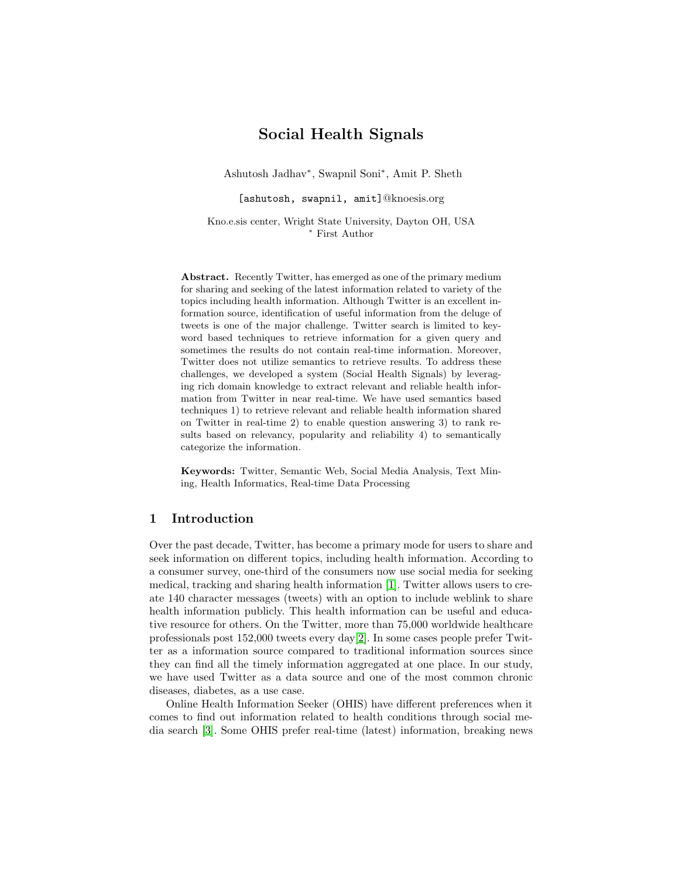# Social Health Signals

Ashutosh Jadhav<sup>∗</sup> , Swapnil Soni<sup>∗</sup> , Amit P. Sheth

[ashutosh, swapnil, amit]@knoesis.org

Kno.e.sis center, Wright State University, Dayton OH, USA <sup>∗</sup> First Author

Abstract. Recently Twitter, has emerged as one of the primary medium for sharing and seeking of the latest information related to variety of the topics including health information. Although Twitter is an excellent information source, identification of useful information from the deluge of tweets is one of the major challenge. Twitter search is limited to keyword based techniques to retrieve information for a given query and sometimes the results do not contain real-time information. Moreover, Twitter does not utilize semantics to retrieve results. To address these challenges, we developed a system (Social Health Signals) by leveraging rich domain knowledge to extract relevant and reliable health information from Twitter in near real-time. We have used semantics based techniques 1) to retrieve relevant and reliable health information shared on Twitter in real-time 2) to enable question answering 3) to rank results based on relevancy, popularity and reliability 4) to semantically categorize the information.

Keywords: Twitter, Semantic Web, Social Media Analysis, Text Mining, Health Informatics, Real-time Data Processing

## 1 Introduction

Over the past decade, Twitter, has become a primary mode for users to share and seek information on different topics, including health information. According to a consumer survey, one-third of the consumers now use social media for seeking medical, tracking and sharing health information [\[1\]](#page-4-0). Twitter allows users to create 140 character messages (tweets) with an option to include weblink to share health information publicly. This health information can be useful and educative resource for others. On the Twitter, more than 75,000 worldwide healthcare professionals post 152,000 tweets every day[\[2\]](#page-4-1). In some cases people prefer Twitter as a information source compared to traditional information sources since they can find all the timely information aggregated at one place. In our study, we have used Twitter as a data source and one of the most common chronic diseases, diabetes, as a use case.

Online Health Information Seeker (OHIS) have different preferences when it comes to find out information related to health conditions through social media search [\[3\]](#page-4-2). Some OHIS prefer real-time (latest) information, breaking news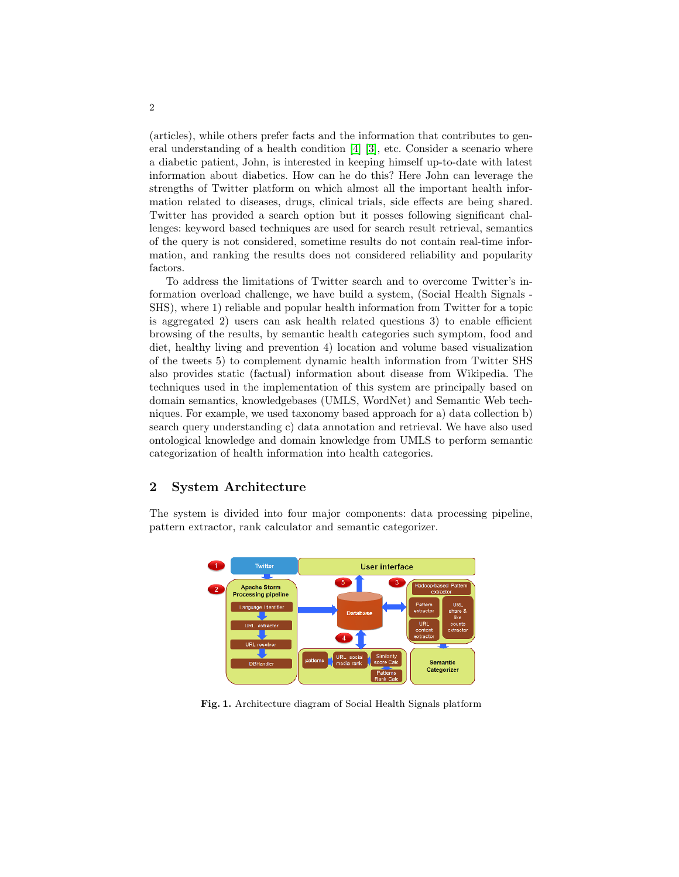(articles), while others prefer facts and the information that contributes to general understanding of a health condition [\[4\]](#page-4-3) [\[3\]](#page-4-2), etc. Consider a scenario where a diabetic patient, John, is interested in keeping himself up-to-date with latest information about diabetics. How can he do this? Here John can leverage the strengths of Twitter platform on which almost all the important health information related to diseases, drugs, clinical trials, side effects are being shared. Twitter has provided a search option but it posses following significant challenges: keyword based techniques are used for search result retrieval, semantics of the query is not considered, sometime results do not contain real-time information, and ranking the results does not considered reliability and popularity factors.

To address the limitations of Twitter search and to overcome Twitter's information overload challenge, we have build a system, (Social Health Signals - SHS), where 1) reliable and popular health information from Twitter for a topic is aggregated 2) users can ask health related questions 3) to enable efficient browsing of the results, by semantic health categories such symptom, food and diet, healthy living and prevention 4) location and volume based visualization of the tweets 5) to complement dynamic health information from Twitter SHS also provides static (factual) information about disease from Wikipedia. The techniques used in the implementation of this system are principally based on domain semantics, knowledgebases (UMLS, WordNet) and Semantic Web techniques. For example, we used taxonomy based approach for a) data collection b) search query understanding c) data annotation and retrieval. We have also used ontological knowledge and domain knowledge from UMLS to perform semantic categorization of health information into health categories.

# 2 System Architecture

The system is divided into four major components: data processing pipeline, pattern extractor, rank calculator and semantic categorizer.



Fig. 1. Architecture diagram of Social Health Signals platform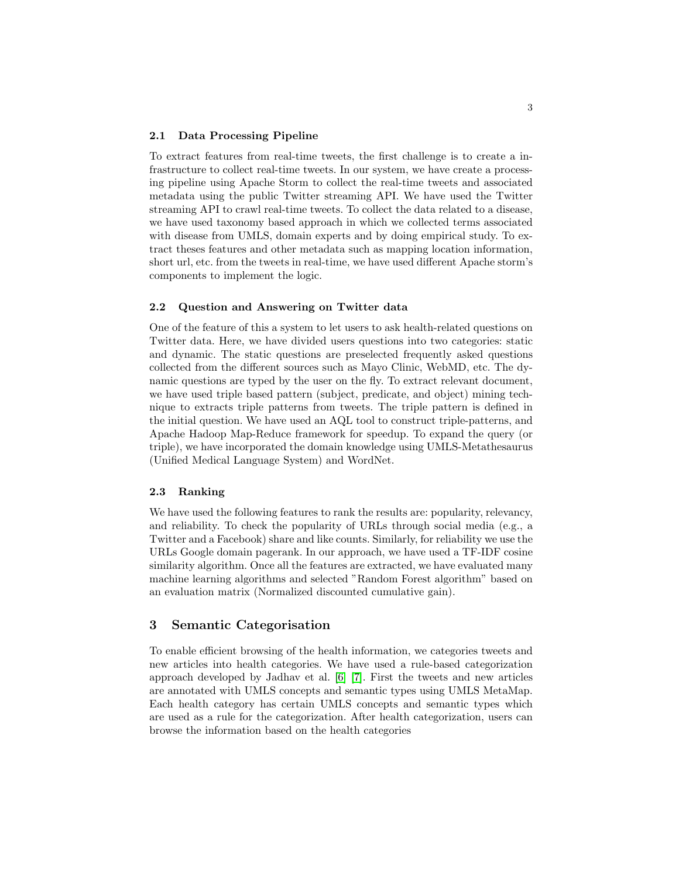#### 2.1 Data Processing Pipeline

To extract features from real-time tweets, the first challenge is to create a infrastructure to collect real-time tweets. In our system, we have create a processing pipeline using Apache Storm to collect the real-time tweets and associated metadata using the public Twitter streaming API. We have used the Twitter streaming API to crawl real-time tweets. To collect the data related to a disease, we have used taxonomy based approach in which we collected terms associated with disease from UMLS, domain experts and by doing empirical study. To extract theses features and other metadata such as mapping location information, short url, etc. from the tweets in real-time, we have used different Apache storm's components to implement the logic.

#### 2.2 Question and Answering on Twitter data

One of the feature of this a system to let users to ask health-related questions on Twitter data. Here, we have divided users questions into two categories: static and dynamic. The static questions are preselected frequently asked questions collected from the different sources such as Mayo Clinic, WebMD, etc. The dynamic questions are typed by the user on the fly. To extract relevant document, we have used triple based pattern (subject, predicate, and object) mining technique to extracts triple patterns from tweets. The triple pattern is defined in the initial question. We have used an AQL tool to construct triple-patterns, and Apache Hadoop Map-Reduce framework for speedup. To expand the query (or triple), we have incorporated the domain knowledge using UMLS-Metathesaurus (Unified Medical Language System) and WordNet.

#### 2.3 Ranking

We have used the following features to rank the results are: popularity, relevancy, and reliability. To check the popularity of URLs through social media (e.g., a Twitter and a Facebook) share and like counts. Similarly, for reliability we use the URLs Google domain pagerank. In our approach, we have used a TF-IDF cosine similarity algorithm. Once all the features are extracted, we have evaluated many machine learning algorithms and selected "Random Forest algorithm" based on an evaluation matrix (Normalized discounted cumulative gain).

### 3 Semantic Categorisation

To enable efficient browsing of the health information, we categories tweets and new articles into health categories. We have used a rule-based categorization approach developed by Jadhav et al. [\[6\]](#page-4-4) [\[7\]](#page-4-5). First the tweets and new articles are annotated with UMLS concepts and semantic types using UMLS MetaMap. Each health category has certain UMLS concepts and semantic types which are used as a rule for the categorization. After health categorization, users can browse the information based on the health categories